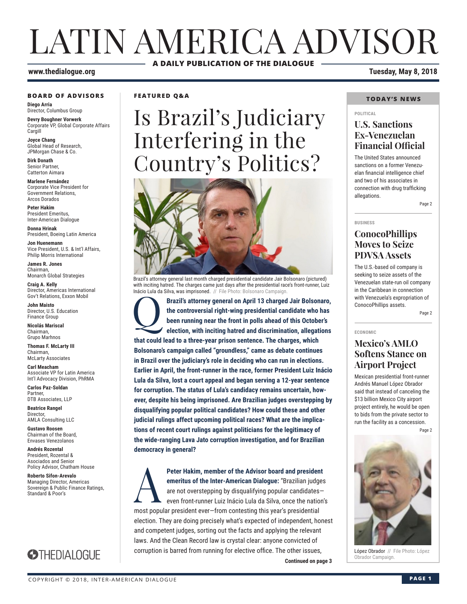# LATIN AMERICA ADVISOR **A DAILY PUBLICATION OF THE DIALOGUE**

#### **www.thedialogue.org Tuesday, May 8, 2018**

#### **BOARD OF ADVISORS**

**Diego Arria** Director, Columbus Group

**Devry Boughner Vorwerk** Corporate VP, Global Corporate Affairs **Cargill** 

**Joyce Chang** Global Head of Research, JPMorgan Chase & Co.

**Dirk Donath** Senior Partner, Catterton Aimara

**Marlene Fernández** Corporate Vice President for Government Relations, Arcos Dorados

**Peter Hakim** President Emeritus, Inter-American Dialogue

**Donna Hrinak** President, Boeing Latin America

**Jon Huenemann** Vice President, U.S. & Int'l Affairs, Philip Morris International

**James R. Jones** Chairman, Monarch Global Strategies

**Craig A. Kelly** Director, Americas International Gov't Relations, Exxon Mobil

**John Maisto** Director, U.S. Education Finance Group

**Nicolás Mariscal** Chairman, Grupo Marhnos

**Thomas F. McLarty III** Chairman, McLarty Associates

**Carl Meacham** Associate VP for Latin America Int'l Advocacy Division, PhRMA

**Carlos Paz-Soldan** Partner, DTB Associates, LLP

**Beatrice Rangel Director** AMLA Consulting LLC

**Gustavo Roosen** Chairman of the Board, Envases Venezolanos

**Andrés Rozental**  President, Rozental & Asociados and Senior Policy Advisor, Chatham House

**Roberto Sifon-Arevalo** Managing Director, Americas Sovereign & Public Finance Ratings, Standard & Poor's



**FEATURED Q&A**

# Is Brazil's Judiciary Interfering in the Country's Politics?



Q**Brazil's attorney general on April 13 charged Jair Bolsonaro, the controversial right-wing presidential candidate who has been running near the front in polls ahead of this October's election, with inciting hatred and discrimination, allegations that could lead to a three-year prison sentence. The charges, which Bolsonaro's campaign called "groundless," came as debate continues in Brazil over the judiciary's role in deciding who can run in elections. Earlier in April, the front-runner in the race, former President Luiz Inácio Lula da Silva, lost a court appeal and began serving a 12-year sentence for corruption. The status of Lula's candidacy remains uncertain, however, despite his being imprisoned. Are Brazilian judges overstepping by disqualifying popular political candidates? How could these and other judicial rulings affect upcoming political races? What are the implications of recent court rulings against politicians for the legitimacy of the wide-ranging Lava Jato corruption investigation, and for Brazilian democracy in general?**

Obrador Campaign. **Continued on page 3**  Peter Hakim, member of the Advisor board and president<br>
emeritus of the Inter-American Dialogue: "Brazilian judges<br>
are not overstepping by disqualifying popular candidates-<br>
even front-runner Luiz Inácio Lula da Silva, on **emeritus of the Inter-American Dialogue:** "Brazilian judges are not overstepping by disqualifying popular candidates even front-runner Luiz Inácio Lula da Silva, once the nation's most popular president ever—from contesting this year's presidential election. They are doing precisely what's expected of independent, honest and competent judges, sorting out the facts and applying the relevant laws. And the Clean Record law is crystal clear: anyone convicted of corruption is barred from running for elective office. The other issues,

#### **TODAY'S NEWS**

#### **POLITICAL**

### **U.S. Sanctions Ex-Venezuelan Financial Official**

The United States announced sanctions on a former Venezuelan financial intelligence chief and two of his associates in connection with drug trafficking allegations.

### **BUSINESS ConocoPhillips Moves to Seize PDVSA Assets**

The U.S.-based oil company is seeking to seize assets of the Venezuelan state-run oil company in the Caribbean in connection with Venezuela's expropriation of ConocoPhillips assets.

Page 2

Page 2

**ECONOMIC**

### **Mexico's AMLO Softens Stance on Airport Project**

Mexican presidential front-runner Andrés Manuel López Obrador said that instead of canceling the \$13 billion Mexico City airport project entirely, he would be open to bids from the private sector to run the facility as a concession.

Page 2



López Obrador // File Photo: López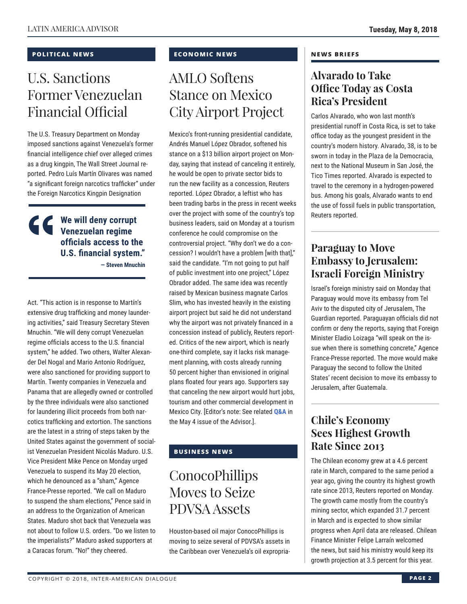### **POLITICAL NEWS**

# U.S. Sanctions Former Venezuelan Financial Official

The U.S. Treasury Department on Monday imposed sanctions against Venezuela's former financial intelligence chief over alleged crimes as a drug kingpin, The Wall Street Journal reported. Pedro Luís Martín Olivares was named "a significant foreign narcotics trafficker" under the Foreign Narcotics Kingpin Designation

## **We will deny corrupt Venezuelan regime officials access to the U.S. financial system."**

**— Steven Mnuchin** 

Act. "This action is in response to Martín's extensive drug trafficking and money laundering activities," said Treasury Secretary Steven Mnuchin. "We will deny corrupt Venezuelan regime officials access to the U.S. financial system," he added. Two others, Walter Alexander Del Nogal and Mario Antonio Rodríguez, were also sanctioned for providing support to Martín. Twenty companies in Venezuela and Panama that are allegedly owned or controlled by the three individuals were also sanctioned for laundering illicit proceeds from both narcotics trafficking and extortion. The sanctions are the latest in a string of steps taken by the United States against the government of socialist Venezuelan President Nicolás Maduro. U.S. Vice President Mike Pence on Monday urged Venezuela to suspend its May 20 election, which he denounced as a "sham," Agence France-Presse reported. "We call on Maduro to suspend the sham elections," Pence said in an address to the Organization of American States. Maduro shot back that Venezuela was not about to follow U.S. orders. "Do we listen to the imperialists?" Maduro asked supporters at a Caracas forum. "No!" they cheered.

### **ECONOMIC NEWS**

# AMLO Softens Stance on Mexico City Airport Project

Mexico's front-running presidential candidate, Andrés Manuel López Obrador, softened his stance on a \$13 billion airport project on Monday, saying that instead of canceling it entirely, he would be open to private sector bids to run the new facility as a concession, Reuters reported. López Obrador, a leftist who has been trading barbs in the press in recent weeks over the project with some of the country's top business leaders, said on Monday at a tourism conference he could compromise on the controversial project. "Why don't we do a concession? I wouldn't have a problem [with that]," said the candidate. "I'm not going to put half of public investment into one project," López Obrador added. The same idea was recently raised by Mexican business magnate Carlos Slim, who has invested heavily in the existing airport project but said he did not understand why the airport was not privately financed in a concession instead of publicly, Reuters reported. Critics of the new airport, which is nearly one-third complete, say it lacks risk management planning, with costs already running 50 percent higher than envisioned in original plans floated four years ago. Supporters say that canceling the new airport would hurt jobs, tourism and other commercial dev[elopment in](http://www.thedialogue.org/wp-content/uploads/2018/05/LAA180504.pdf)  Mexico City. [Editor's note: See related **Q&A** in the May 4 issue of the Advisor.].

### **BUSINESS NEWS**

# **ConocoPhillips** Moves to Seize PDVSA Assets

Houston-based oil major ConocoPhillips is moving to seize several of PDVSA's assets in the Caribbean over Venezuela's oil expropria-

### **NEWS BRIEFS**

## **Alvarado to Take Office Today as Costa Rica's President**

Carlos Alvarado, who won last month's presidential runoff in Costa Rica, is set to take office today as the youngest president in the country's modern history. Alvarado, 38, is to be sworn in today in the Plaza de la Democracia, next to the National Museum in San José, the Tico Times reported. Alvarado is expected to travel to the ceremony in a hydrogen-powered bus. Among his goals, Alvarado wants to end the use of fossil fuels in public transportation, Reuters reported.

## **Paraguay to Move Embassy to Jerusalem: Israeli Foreign Ministry**

Israel's foreign ministry said on Monday that Paraguay would move its embassy from Tel Aviv to the disputed city of Jerusalem, The Guardian reported. Paraguayan officials did not confirm or deny the reports, saying that Foreign Minister Eladio Loizaga "will speak on the issue when there is something concrete," Agence France-Presse reported. The move would make Paraguay the second to follow the United States' recent decision to move its embassy to Jerusalem, after Guatemala.

# **Chile's Economy Sees Highest Growth Rate Since 2013**

The Chilean economy grew at a 4.6 percent rate in March, compared to the same period a year ago, giving the country its highest growth rate since 2013, Reuters reported on Monday. The growth came mostly from the country's mining sector, which expanded 31.7 percent in March and is expected to show similar progress when April data are released. Chilean Finance Minister Felipe Larraín welcomed the news, but said his ministry would keep its growth projection at 3.5 percent for this year.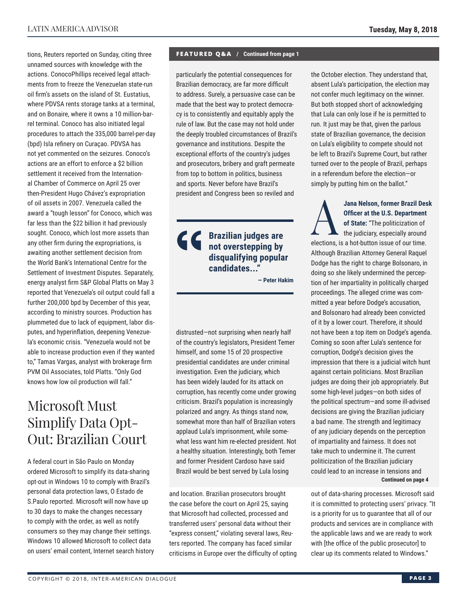tions, Reuters reported on Sunday, citing three unnamed sources with knowledge with the actions. ConocoPhillips received legal attachments from to freeze the Venezuelan state-run oil firm's assets on the island of St. Eustatius, where PDVSA rents storage tanks at a terminal, and on Bonaire, where it owns a 10 million-barrel terminal. Conoco has also initiated legal procedures to attach the 335,000 barrel-per-day (bpd) Isla refinery on Curaçao. PDVSA has not yet commented on the seizures. Conoco's actions are an effort to enforce a \$2 billion settlement it received from the International Chamber of Commerce on April 25 over then-President Hugo Chávez's expropriation of oil assets in 2007. Venezuela called the award a "tough lesson" for Conoco, which was far less than the \$22 billion it had previously sought. Conoco, which lost more assets than any other firm during the expropriations, is awaiting another settlement decision from the World Bank's International Centre for the Settlement of Investment Disputes. Separately, energy analyst firm S&P Global Platts on May 3 reported that Venezuela's oil output could fall a further 200,000 bpd by December of this year, according to ministry sources. Production has plummeted due to lack of equipment, labor disputes, and hyperinflation, deepening Venezuela's economic crisis. "Venezuela would not be able to increase production even if they wanted to," Tamas Vargas, analyst with brokerage firm PVM Oil Associates, told Platts. "Only God knows how low oil production will fall."

# Microsoft Must Simplify Data Opt-Out: Brazilian Court

A federal court in São Paulo on Monday ordered Microsoft to simplify its data-sharing opt-out in Windows 10 to comply with Brazil's personal data protection laws, O Estado de S.Paulo reported. Microsoft will now have up to 30 days to make the changes necessary to comply with the order, as well as notify consumers so they may change their settings. Windows 10 allowed Microsoft to collect data on users' email content, Internet search history

#### **FEATURED Q&A / Continued from page 1**

particularly the potential consequences for Brazilian democracy, are far more difficult to address. Surely, a persuasive case can be made that the best way to protect democracy is to consistently and equitably apply the rule of law. But the case may not hold under the deeply troubled circumstances of Brazil's governance and institutions. Despite the exceptional efforts of the country's judges and prosecutors, bribery and graft permeate from top to bottom in politics, business and sports. Never before have Brazil's president and Congress been so reviled and

> **Brazilian judges are not overstepping by disqualifying popular candidates..."**

> > **— Peter Hakim**

distrusted—not surprising when nearly half of the country's legislators, President Temer himself, and some 15 of 20 prospective presidential candidates are under criminal investigation. Even the judiciary, which has been widely lauded for its attack on corruption, has recently come under growing criticism. Brazil's population is increasingly polarized and angry. As things stand now, somewhat more than half of Brazilian voters applaud Lula's imprisonment, while somewhat less want him re-elected president. Not a healthy situation. Interestingly, both Temer and former President Cardoso have said Brazil would be best served by Lula losing

and location. Brazilian prosecutors brought the case before the court on April 25, saying that Microsoft had collected, processed and transferred users' personal data without their "express consent," violating several laws, Reuters reported. The company has faced similar criticisms in Europe over the difficulty of opting the October election. They understand that, absent Lula's participation, the election may not confer much legitimacy on the winner. But both stopped short of acknowledging that Lula can only lose if he is permitted to run. It just may be that, given the parlous state of Brazilian governance, the decision on Lula's eligibility to compete should not be left to Brazil's Supreme Court, but rather turned over to the people of Brazil, perhaps in a referendum before the election—or simply by putting him on the ballot."

Jana Nelson, former Brazil Desk<br>
Officer at the U.S. Department<br>
of State: "The politicization of<br>
the judiciary, especially around<br>
alections is a bet button issue of our time **Officer at the U.S. Department of State:** "The politicization of the judiciary, especially around elections, is a hot-button issue of our time. Although Brazilian Attorney General Raquel Dodge has the right to charge Bolsonaro, in doing so she likely undermined the perception of her impartiality in politically charged proceedings. The alleged crime was committed a year before Dodge's accusation, and Bolsonaro had already been convicted of it by a lower court. Therefore, it should not have been a top item on Dodge's agenda. Coming so soon after Lula's sentence for corruption, Dodge's decision gives the impression that there is a judicial witch hunt against certain politicians. Most Brazilian judges are doing their job appropriately. But some high-level judges—on both sides of the political spectrum—and some ill-advised decisions are giving the Brazilian judiciary a bad name. The strength and legitimacy of any judiciary depends on the perception of impartiality and fairness. It does not take much to undermine it. The current politicization of the Brazilian judiciary could lead to an increase in tensions and **Continued on page 4** 

out of data-sharing processes. Microsoft said it is committed to protecting users' privacy. "It is a priority for us to guarantee that all of our products and services are in compliance with the applicable laws and we are ready to work with [the office of the public prosecutor] to clear up its comments related to Windows."